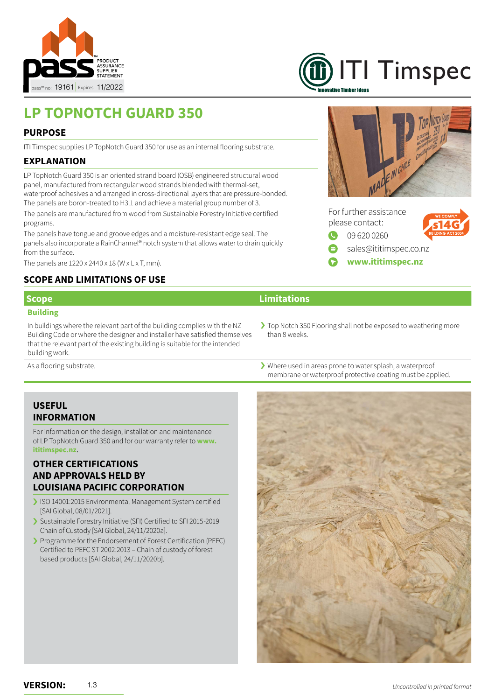

# [ITI Timspec](https://ititimspec.nz/) nvative Timher Ideas

## **LP TOPNOTCH GUARD 350**

#### **PURPOSE**

ITI Timspec supplies LP TopNotch Guard 350 for use as an internal flooring substrate.

#### **EXPLANATION**

LP TopNotch Guard 350 is an oriented strand board (OSB) engineered structural wood panel, manufactured from rectangular wood strands blended with thermal-set, waterproof adhesives and arranged in cross-directional layers that are pressure-bonded. The panels are boron-treated to H3.1 and achieve a material group number of 3. The panels are manufactured from wood from Sustainable Forestry Initiative certified programs.

The panels have tongue and groove edges and a moisture-resistant edge seal. The panels also incorporate a RainChannel® notch system that allows water to drain quickly from the surface.

The panels are  $1220 \times 2440 \times 18$  (W  $\times$  L  $\times$  T, mm).

#### **SCOPE AND LIMITATIONS OF USE**

#### **Building**

In buildings where the relevant part of the building complies with the NZ Building Code or where the designer and installer have satisfied themselves that the relevant part of the existing building is suitable for the intended building work.

EIN CHILE



### **Scope Limitations**

> Top Notch 350 Flooring shall not be exposed to weathering more than 8 weeks.

membrane or waterproof protective coating must be applied.

As a flooring substrate.  $\longrightarrow$  Where used in areas prone to water splash, a waterproof

#### **USEFUL INFORMATION**

For information on the design, installation and maintenance of LP TopNotch Guard 350 and for our warranty refer to **[www.](https://ititimspec.nz/) [ititimspec.nz](https://ititimspec.nz/)**.

#### **OTHER CERTIFICATIONS AND APPROVALS HELD BY LOUISIANA PACIFIC CORPORATION**

- › ISO 14001:2015 Environmental Management System certified [SAI Global, 08/01/2021].
- › Sustainable Forestry Initiative (SFI) Certified to SFI 2015-2019 Chain of Custody [SAI Global, 24/11/2020a].
- › Programme for the Endorsement of Forest Certification (PEFC) Certified to PEFC ST 2002:2013 – Chain of custody of forest based products [SAI Global, 24/11/2020b].
-